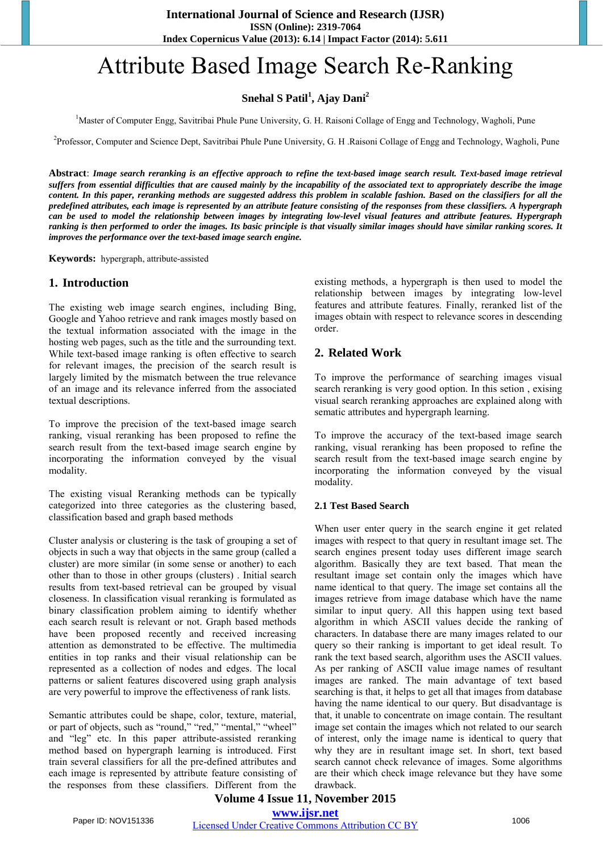# Attribute Based Image Search Re-Ranking

# **Snehal S Patil<sup>1</sup> , Ajay Dani<sup>2</sup>**

<sup>1</sup>Master of Computer Engg, Savitribai Phule Pune University, G. H. Raisoni Collage of Engg and Technology, Wagholi, Pune

<sup>2</sup>Professor, Computer and Science Dept, Savitribai Phule Pune University, G. H. Raisoni Collage of Engg and Technology, Wagholi, Pune

**Abstract**: *Image search reranking is an effective approach to refine the text-based image search result. Text-based image retrieval suffers from essential difficulties that are caused mainly by the incapability of the associated text to appropriately describe the image content. In this paper, reranking methods are suggested address this problem in scalable fashion. Based on the classifiers for all the predefined attributes, each image is represented by an attribute feature consisting of the responses from these classifiers. A hypergraph can be used to model the relationship between images by integrating low-level visual features and attribute features. Hypergraph ranking is then performed to order the images. Its basic principle is that visually similar images should have similar ranking scores. It improves the performance over the text-based image search engine.* 

**Keywords:** hypergraph, attribute-assisted

#### **1. Introduction**

The existing web image search engines, including Bing, Google and Yahoo retrieve and rank images mostly based on the textual information associated with the image in the hosting web pages, such as the title and the surrounding text. While text-based image ranking is often effective to search for relevant images, the precision of the search result is largely limited by the mismatch between the true relevance of an image and its relevance inferred from the associated textual descriptions.

To improve the precision of the text-based image search ranking, visual reranking has been proposed to refine the search result from the text-based image search engine by incorporating the information conveyed by the visual modality.

The existing visual Reranking methods can be typically categorized into three categories as the clustering based, classification based and graph based methods

Cluster analysis or clustering is the task of grouping a set of objects in such a way that objects in the same group (called a cluster) are more similar (in some sense or another) to each other than to those in other groups (clusters) . Initial search results from text-based retrieval can be grouped by visual closeness. In classification visual reranking is formulated as binary classification problem aiming to identify whether each search result is relevant or not. Graph based methods have been proposed recently and received increasing attention as demonstrated to be effective. The multimedia entities in top ranks and their visual relationship can be represented as a collection of nodes and edges. The local patterns or salient features discovered using graph analysis are very powerful to improve the effectiveness of rank lists.

Semantic attributes could be shape, color, texture, material, or part of objects, such as "round," "red," "mental," "wheel" and "leg" etc. In this paper attribute-assisted reranking method based on hypergraph learning is introduced. First train several classifiers for all the pre-defined attributes and each image is represented by attribute feature consisting of the responses from these classifiers. Different from the

existing methods, a hypergraph is then used to model the relationship between images by integrating low-level features and attribute features. Finally, reranked list of the images obtain with respect to relevance scores in descending order.

#### **2. Related Work**

To improve the performance of searching images visual search reranking is very good option. In this setion , exising visual search reranking approaches are explained along with sematic attributes and hypergraph learning.

To improve the accuracy of the text-based image search ranking, visual reranking has been proposed to refine the search result from the text-based image search engine by incorporating the information conveyed by the visual modality.

#### **2.1 Test Based Search**

When user enter query in the search engine it get related images with respect to that query in resultant image set. The search engines present today uses different image search algorithm. Basically they are text based. That mean the resultant image set contain only the images which have name identical to that query. The image set contains all the images retrieve from image database which have the name similar to input query. All this happen using text based algorithm in which ASCII values decide the ranking of characters. In database there are many images related to our query so their ranking is important to get ideal result. To rank the text based search, algorithm uses the ASCII values. As per ranking of ASCII value image names of resultant images are ranked. The main advantage of text based searching is that, it helps to get all that images from database having the name identical to our query. But disadvantage is that, it unable to concentrate on image contain. The resultant image set contain the images which not related to our search of interest, only the image name is identical to query that why they are in resultant image set. In short, text based search cannot check relevance of images. Some algorithms are their which check image relevance but they have some drawback.

#### **Volume 4 Issue 11, November 2015 www.ijsr.net**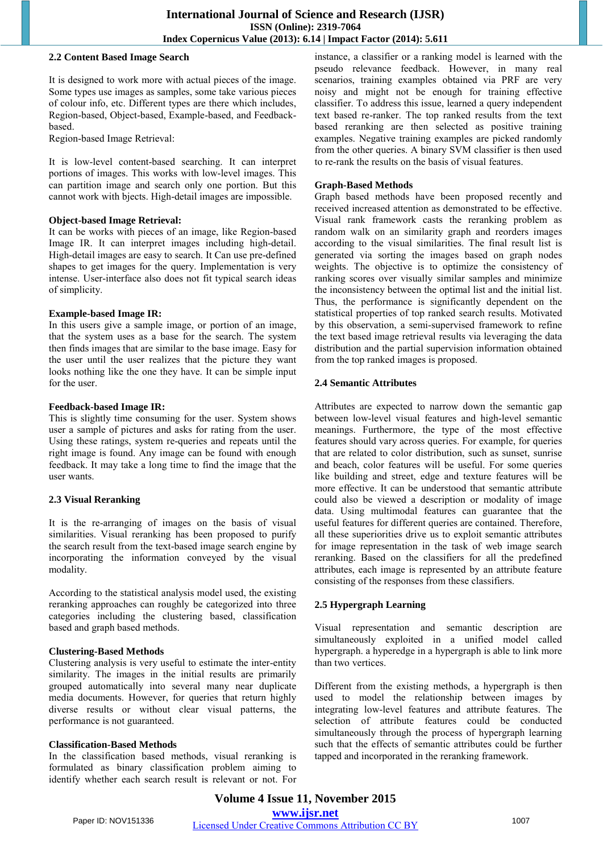#### **2.2 Content Based Image Search**

It is designed to work more with actual pieces of the image. Some types use images as samples, some take various pieces of colour info, etc. Different types are there which includes, Region-based, Object-based, Example-based, and Feedbackbased.

Region-based Image Retrieval:

It is low-level content-based searching. It can interpret portions of images. This works with low-level images. This can partition image and search only one portion. But this cannot work with bjects. High-detail images are impossible.

#### **Object-based Image Retrieval:**

It can be works with pieces of an image, like Region-based Image IR. It can interpret images including high-detail. High-detail images are easy to search. It Can use pre-defined shapes to get images for the query. Implementation is very intense. User-interface also does not fit typical search ideas of simplicity.

#### **Example-based Image IR:**

In this users give a sample image, or portion of an image, that the system uses as a base for the search. The system then finds images that are similar to the base image. Easy for the user until the user realizes that the picture they want looks nothing like the one they have. It can be simple input for the user.

#### **Feedback-based Image IR:**

This is slightly time consuming for the user. System shows user a sample of pictures and asks for rating from the user. Using these ratings, system re-queries and repeats until the right image is found. Any image can be found with enough feedback. It may take a long time to find the image that the user wants.

#### **2.3 Visual Reranking**

It is the re-arranging of images on the basis of visual similarities. Visual reranking has been proposed to purify the search result from the text-based image search engine by incorporating the information conveyed by the visual modality.

According to the statistical analysis model used, the existing reranking approaches can roughly be categorized into three categories including the clustering based, classification based and graph based methods.

#### **Clustering-Based Methods**

Clustering analysis is very useful to estimate the inter-entity similarity. The images in the initial results are primarily grouped automatically into several many near duplicate media documents. However, for queries that return highly diverse results or without clear visual patterns, the performance is not guaranteed.

#### **Classification-Based Methods**

In the classification based methods, visual reranking is formulated as binary classification problem aiming to identify whether each search result is relevant or not. For instance, a classifier or a ranking model is learned with the pseudo relevance feedback. However, in many real scenarios, training examples obtained via PRF are very noisy and might not be enough for training effective classifier. To address this issue, learned a query independent text based re-ranker. The top ranked results from the text based reranking are then selected as positive training examples. Negative training examples are picked randomly from the other queries. A binary SVM classifier is then used to re-rank the results on the basis of visual features.

#### **Graph-Based Methods**

Graph based methods have been proposed recently and received increased attention as demonstrated to be effective. Visual rank framework casts the reranking problem as random walk on an similarity graph and reorders images according to the visual similarities. The final result list is generated via sorting the images based on graph nodes weights. The objective is to optimize the consistency of ranking scores over visually similar samples and minimize the inconsistency between the optimal list and the initial list. Thus, the performance is significantly dependent on the statistical properties of top ranked search results. Motivated by this observation, a semi-supervised framework to refine the text based image retrieval results via leveraging the data distribution and the partial supervision information obtained from the top ranked images is proposed.

#### **2.4 Semantic Attributes**

Attributes are expected to narrow down the semantic gap between low-level visual features and high-level semantic meanings. Furthermore, the type of the most effective features should vary across queries. For example, for queries that are related to color distribution, such as sunset, sunrise and beach, color features will be useful. For some queries like building and street, edge and texture features will be more effective. It can be understood that semantic attribute could also be viewed a description or modality of image data. Using multimodal features can guarantee that the useful features for different queries are contained. Therefore, all these superiorities drive us to exploit semantic attributes for image representation in the task of web image search reranking. Based on the classifiers for all the predefined attributes, each image is represented by an attribute feature consisting of the responses from these classifiers.

#### **2.5 Hypergraph Learning**

Visual representation and semantic description are simultaneously exploited in a unified model called hypergraph. a hyperedge in a hypergraph is able to link more than two vertices.

Different from the existing methods, a hypergraph is then used to model the relationship between images by integrating low-level features and attribute features. The selection of attribute features could be conducted simultaneously through the process of hypergraph learning such that the effects of semantic attributes could be further tapped and incorporated in the reranking framework.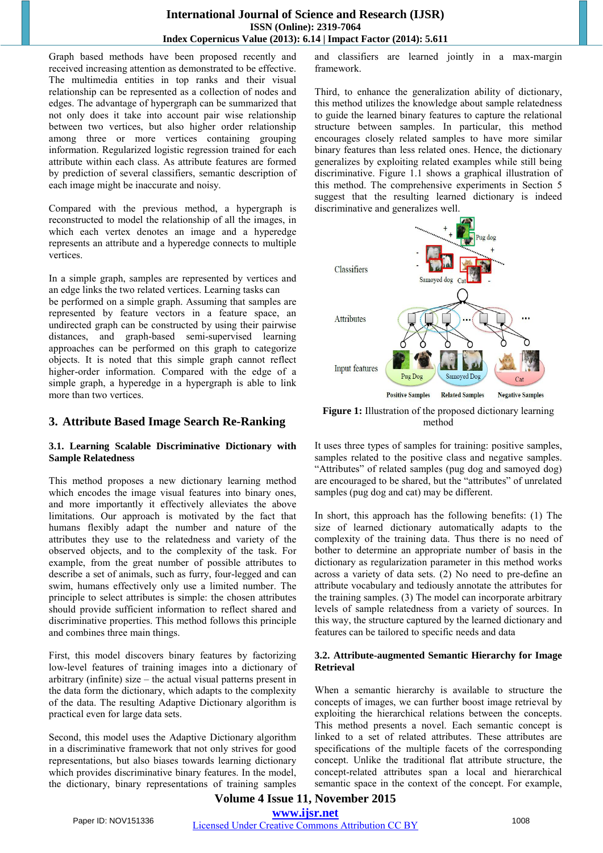#### **International Journal of Science and Research (IJSR) ISSN (Online): 2319-7064 Index Copernicus Value (2013): 6.14 | Impact Factor (2014): 5.611**

Graph based methods have been proposed recently and received increasing attention as demonstrated to be effective. The multimedia entities in top ranks and their visual relationship can be represented as a collection of nodes and edges. The advantage of hypergraph can be summarized that not only does it take into account pair wise relationship between two vertices, but also higher order relationship among three or more vertices containing grouping information. Regularized logistic regression trained for each attribute within each class. As attribute features are formed by prediction of several classifiers, semantic description of each image might be inaccurate and noisy.

Compared with the previous method, a hypergraph is reconstructed to model the relationship of all the images, in which each vertex denotes an image and a hyperedge represents an attribute and a hyperedge connects to multiple vertices.

In a simple graph, samples are represented by vertices and an edge links the two related vertices. Learning tasks can

be performed on a simple graph. Assuming that samples are represented by feature vectors in a feature space, an undirected graph can be constructed by using their pairwise distances, and graph-based semi-supervised learning approaches can be performed on this graph to categorize objects. It is noted that this simple graph cannot reflect higher-order information. Compared with the edge of a simple graph, a hyperedge in a hypergraph is able to link more than two vertices.

## **3. Attribute Based Image Search Re-Ranking**

#### **3.1. Learning Scalable Discriminative Dictionary with Sample Relatedness**

This method proposes a new dictionary learning method which encodes the image visual features into binary ones, and more importantly it effectively alleviates the above limitations. Our approach is motivated by the fact that humans flexibly adapt the number and nature of the attributes they use to the relatedness and variety of the observed objects, and to the complexity of the task. For example, from the great number of possible attributes to describe a set of animals, such as furry, four-legged and can swim, humans effectively only use a limited number. The principle to select attributes is simple: the chosen attributes should provide sufficient information to reflect shared and discriminative properties. This method follows this principle and combines three main things.

First, this model discovers binary features by factorizing low-level features of training images into a dictionary of arbitrary (infinite) size – the actual visual patterns present in the data form the dictionary, which adapts to the complexity of the data. The resulting Adaptive Dictionary algorithm is practical even for large data sets.

Second, this model uses the Adaptive Dictionary algorithm in a discriminative framework that not only strives for good representations, but also biases towards learning dictionary which provides discriminative binary features. In the model, the dictionary, binary representations of training samples and classifiers are learned jointly in a max-margin framework.

Third, to enhance the generalization ability of dictionary, this method utilizes the knowledge about sample relatedness to guide the learned binary features to capture the relational structure between samples. In particular, this method encourages closely related samples to have more similar binary features than less related ones. Hence, the dictionary generalizes by exploiting related examples while still being discriminative. Figure 1.1 shows a graphical illustration of this method. The comprehensive experiments in Section 5 suggest that the resulting learned dictionary is indeed discriminative and generalizes well.



**Figure 1:** Illustration of the proposed dictionary learning method

It uses three types of samples for training: positive samples, samples related to the positive class and negative samples. "Attributes" of related samples (pug dog and samoyed dog) are encouraged to be shared, but the "attributes" of unrelated samples (pug dog and cat) may be different.

In short, this approach has the following benefits: (1) The size of learned dictionary automatically adapts to the complexity of the training data. Thus there is no need of bother to determine an appropriate number of basis in the dictionary as regularization parameter in this method works across a variety of data sets. (2) No need to pre-define an attribute vocabulary and tediously annotate the attributes for the training samples. (3) The model can incorporate arbitrary levels of sample relatedness from a variety of sources. In this way, the structure captured by the learned dictionary and features can be tailored to specific needs and data

#### **3.2. Attribute-augmented Semantic Hierarchy for Image Retrieval**

When a semantic hierarchy is available to structure the concepts of images, we can further boost image retrieval by exploiting the hierarchical relations between the concepts. This method presents a novel. Each semantic concept is linked to a set of related attributes. These attributes are specifications of the multiple facets of the corresponding concept. Unlike the traditional flat attribute structure, the concept-related attributes span a local and hierarchical semantic space in the context of the concept. For example,

# **Volume 4 Issue 11, November 2015 www.ijsr.net**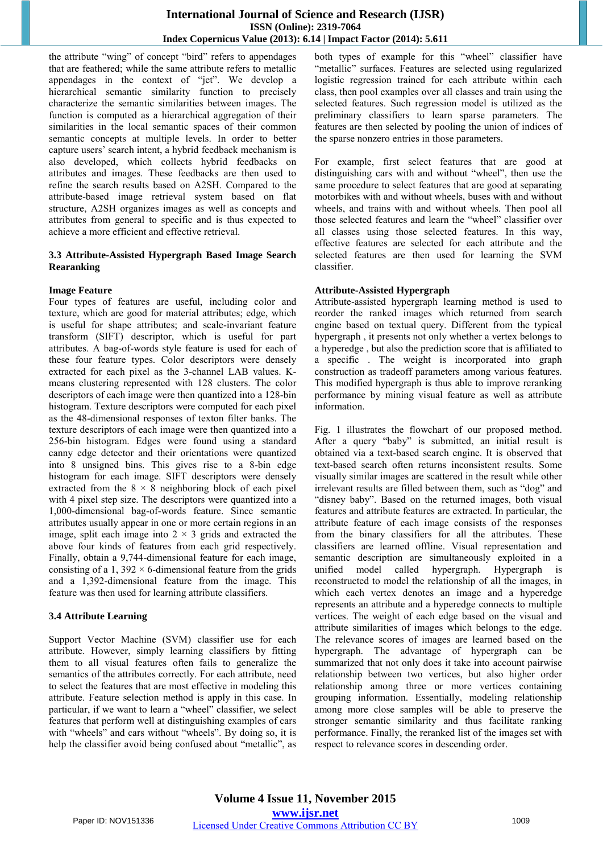the attribute "wing" of concept "bird" refers to appendages that are feathered; while the same attribute refers to metallic appendages in the context of "jet". We develop a hierarchical semantic similarity function to precisely characterize the semantic similarities between images. The function is computed as a hierarchical aggregation of their similarities in the local semantic spaces of their common semantic concepts at multiple levels. In order to better capture users' search intent, a hybrid feedback mechanism is also developed, which collects hybrid feedbacks on attributes and images. These feedbacks are then used to refine the search results based on A2SH. Compared to the attribute-based image retrieval system based on flat structure, A2SH organizes images as well as concepts and attributes from general to specific and is thus expected to achieve a more efficient and effective retrieval.

#### **3.3 Attribute-Assisted Hypergraph Based Image Search Rearanking**

#### **Image Feature**

Four types of features are useful, including color and texture, which are good for material attributes; edge, which is useful for shape attributes; and scale-invariant feature transform (SIFT) descriptor, which is useful for part attributes. A bag-of-words style feature is used for each of these four feature types. Color descriptors were densely extracted for each pixel as the 3-channel LAB values. Kmeans clustering represented with 128 clusters. The color descriptors of each image were then quantized into a 128-bin histogram. Texture descriptors were computed for each pixel as the 48-dimensional responses of texton filter banks. The texture descriptors of each image were then quantized into a 256-bin histogram. Edges were found using a standard canny edge detector and their orientations were quantized into 8 unsigned bins. This gives rise to a 8-bin edge histogram for each image. SIFT descriptors were densely extracted from the  $8 \times 8$  neighboring block of each pixel with 4 pixel step size. The descriptors were quantized into a 1,000-dimensional bag-of-words feature. Since semantic attributes usually appear in one or more certain regions in an image, split each image into  $2 \times 3$  grids and extracted the above four kinds of features from each grid respectively. Finally, obtain a 9,744-dimensional feature for each image, consisting of a 1,  $392 \times 6$ -dimensional feature from the grids and a 1,392-dimensional feature from the image. This feature was then used for learning attribute classifiers.

#### **3.4 Attribute Learning**

Support Vector Machine (SVM) classifier use for each attribute. However, simply learning classifiers by fitting them to all visual features often fails to generalize the semantics of the attributes correctly. For each attribute, need to select the features that are most effective in modeling this attribute. Feature selection method is apply in this case. In particular, if we want to learn a "wheel" classifier, we select features that perform well at distinguishing examples of cars with "wheels" and cars without "wheels". By doing so, it is help the classifier avoid being confused about "metallic", as

both types of example for this "wheel" classifier have "metallic" surfaces. Features are selected using regularized logistic regression trained for each attribute within each class, then pool examples over all classes and train using the selected features. Such regression model is utilized as the preliminary classifiers to learn sparse parameters. The features are then selected by pooling the union of indices of the sparse nonzero entries in those parameters.

For example, first select features that are good at distinguishing cars with and without "wheel", then use the same procedure to select features that are good at separating motorbikes with and without wheels, buses with and without wheels, and trains with and without wheels. Then pool all those selected features and learn the "wheel" classifier over all classes using those selected features. In this way, effective features are selected for each attribute and the selected features are then used for learning the SVM classifier.

#### **Attribute-Assisted Hypergraph**

Attribute-assisted hypergraph learning method is used to reorder the ranked images which returned from search engine based on textual query. Different from the typical hypergraph , it presents not only whether a vertex belongs to a hyperedge , but also the prediction score that is affiliated to a specific . The weight is incorporated into graph construction as tradeoff parameters among various features. This modified hypergraph is thus able to improve reranking performance by mining visual feature as well as attribute information.

Fig. 1 illustrates the flowchart of our proposed method. After a query "baby" is submitted, an initial result is obtained via a text-based search engine. It is observed that text-based search often returns inconsistent results. Some visually similar images are scattered in the result while other irrelevant results are filled between them, such as "dog" and "disney baby". Based on the returned images, both visual features and attribute features are extracted. In particular, the attribute feature of each image consists of the responses from the binary classifiers for all the attributes. These classifiers are learned offline. Visual representation and semantic description are simultaneously exploited in a unified model called hypergraph. Hypergraph is reconstructed to model the relationship of all the images, in which each vertex denotes an image and a hyperedge represents an attribute and a hyperedge connects to multiple vertices. The weight of each edge based on the visual and attribute similarities of images which belongs to the edge. The relevance scores of images are learned based on the hypergraph. The advantage of hypergraph can be summarized that not only does it take into account pairwise relationship between two vertices, but also higher order relationship among three or more vertices containing grouping information. Essentially, modeling relationship among more close samples will be able to preserve the stronger semantic similarity and thus facilitate ranking performance. Finally, the reranked list of the images set with respect to relevance scores in descending order.